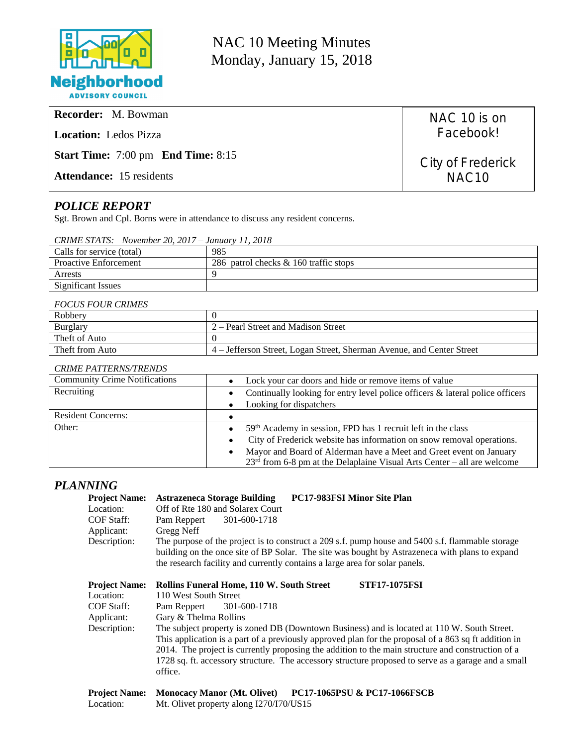

NAC 10 Meeting Minutes Monday, January 15, 2018

| <b>Recorder:</b> M. Bowman                            | NAC 10 is on      |
|-------------------------------------------------------|-------------------|
| <b>Location:</b> Ledos Pizza                          | Facebook!         |
| <b>Start Time:</b> $7:00 \text{ pm}$ End Time: $8:15$ | City of Frederick |
| <b>Attendance:</b> 15 residents                       | NAC <sub>10</sub> |

# *POLICE REPORT*

Sgt. Brown and Cpl. Borns were in attendance to discuss any resident concerns.

Location: Mt. Olivet property along I270/I70/US15

|         | CRIME STATS: November 20, 2017 – January 11, 2018 |                      |
|---------|---------------------------------------------------|----------------------|
| - - - - |                                                   | $\sim$ $\sim$ $\sim$ |

| Calls for service (total)    | 985                                     |
|------------------------------|-----------------------------------------|
| <b>Proactive Enforcement</b> | 286 patrol checks $& 160$ traffic stops |
| Arrests                      |                                         |
| Significant Issues           |                                         |

#### *FOCUS FOUR CRIMES*

| Robbery         |                                                                       |
|-----------------|-----------------------------------------------------------------------|
| <b>Burglary</b> | 2 – Pearl Street and Madison Street                                   |
| Theft of Auto   |                                                                       |
| Theft from Auto | 4 – Jefferson Street, Logan Street, Sherman Avenue, and Center Street |

#### *CRIME PATTERNS/TRENDS*

| <b>Community Crime Notifications</b> | Lock your car doors and hide or remove items of value<br>$\bullet$                         |  |
|--------------------------------------|--------------------------------------------------------------------------------------------|--|
| Recruiting                           | Continually looking for entry level police officers & lateral police officers<br>$\bullet$ |  |
|                                      | Looking for dispatchers<br>$\bullet$                                                       |  |
| <b>Resident Concerns:</b>            |                                                                                            |  |
| Other:                               | 59th Academy in session, FPD has 1 recruit left in the class<br>$\bullet$                  |  |
|                                      | City of Frederick website has information on snow removal operations.<br>$\bullet$         |  |
|                                      | Mayor and Board of Alderman have a Meet and Greet event on January<br>$\bullet$            |  |
|                                      | $23rd$ from 6-8 pm at the Delaplaine Visual Arts Center – all are welcome                  |  |

# *PLANNING*

| <b>Project Name:</b><br>Location:<br><b>COF Staff:</b><br>Applicant:<br>Description: | <b>PC17-983FSI Minor Site Plan</b><br><b>Astrazeneca Storage Building</b><br>Off of Rte 180 and Solarex Court<br>301-600-1718<br>Pam Reppert<br>Gregg Neff<br>The purpose of the project is to construct a 209 s.f. pump house and 5400 s.f. flammable storage<br>building on the once site of BP Solar. The site was bought by Astrazeneca with plans to expand<br>the research facility and currently contains a large area for solar panels.                                                                                                                                  |
|--------------------------------------------------------------------------------------|----------------------------------------------------------------------------------------------------------------------------------------------------------------------------------------------------------------------------------------------------------------------------------------------------------------------------------------------------------------------------------------------------------------------------------------------------------------------------------------------------------------------------------------------------------------------------------|
| <b>Project Name:</b><br>Location:<br>COF Staff:<br>Applicant:<br>Description:        | Rollins Funeral Home, 110 W. South Street<br><b>STF17-1075FSI</b><br>110 West South Street<br>Pam Reppert<br>301-600-1718<br>Gary & Thelma Rollins<br>The subject property is zoned DB (Downtown Business) and is located at 110 W. South Street.<br>This application is a part of a previously approved plan for the proposal of a 863 sq ft addition in<br>2014. The project is currently proposing the addition to the main structure and construction of a<br>1728 sq. ft. accessory structure. The accessory structure proposed to serve as a garage and a small<br>office. |
| <b>Project Name:</b>                                                                 | <b>Monocacy Manor (Mt. Olivet)</b><br><b>PC17-1065PSU &amp; PC17-1066FSCB</b>                                                                                                                                                                                                                                                                                                                                                                                                                                                                                                    |